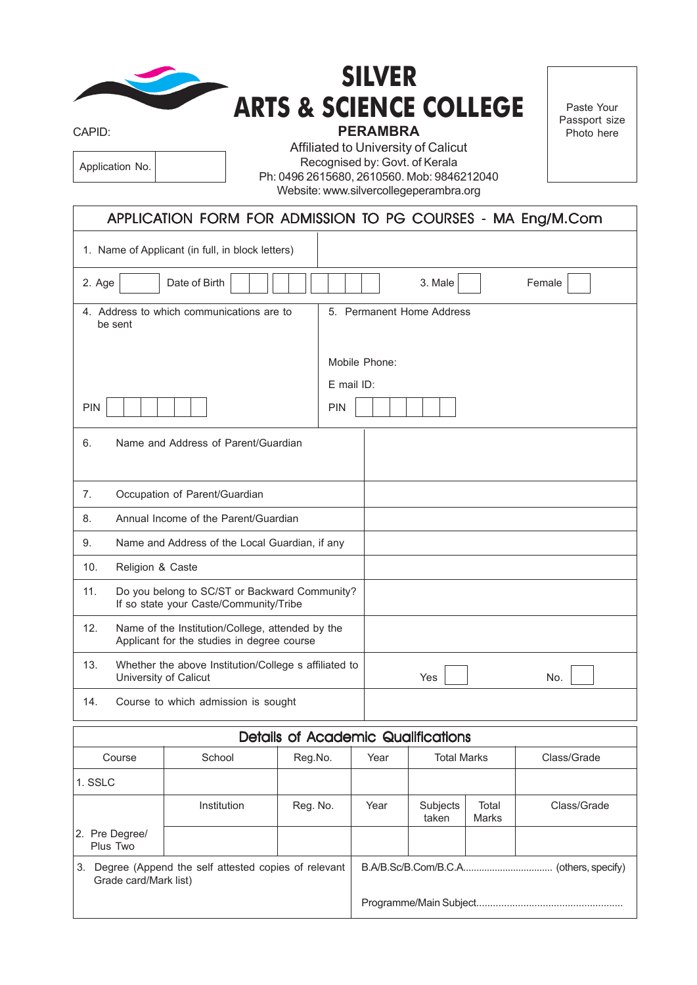|                                                                                                       |                                                                                         |                                            | <b>SILVER</b>                  |                                           |                       |             |  |  |
|-------------------------------------------------------------------------------------------------------|-----------------------------------------------------------------------------------------|--------------------------------------------|--------------------------------|-------------------------------------------|-----------------------|-------------|--|--|
| CAPID:                                                                                                |                                                                                         | <b>ARTS &amp; SCIENCE COLLEGE</b>          |                                | Paste Your<br>Passport size<br>Photo here |                       |             |  |  |
|                                                                                                       |                                                                                         | Affiliated to University of Calicut        | <b>PERAMBRA</b>                |                                           |                       |             |  |  |
| Application No.                                                                                       |                                                                                         | Ph: 0496 2615680, 2610560. Mob: 9846212040 | Recognised by: Govt. of Kerala |                                           |                       |             |  |  |
|                                                                                                       |                                                                                         | Website: www.silvercollegeperambra.org     |                                |                                           |                       |             |  |  |
| APPLICATION FORM FOR ADMISSION TO PG COURSES - MA Eng/M.Com                                           |                                                                                         |                                            |                                |                                           |                       |             |  |  |
| 1. Name of Applicant (in full, in block letters)                                                      |                                                                                         |                                            |                                |                                           |                       |             |  |  |
| 2. Age                                                                                                | Date of Birth<br>3. Male<br>Female                                                      |                                            |                                |                                           |                       |             |  |  |
| 4. Address to which communications are to<br>5. Permanent Home Address<br>be sent                     |                                                                                         |                                            |                                |                                           |                       |             |  |  |
|                                                                                                       |                                                                                         |                                            | Mobile Phone:                  |                                           |                       |             |  |  |
|                                                                                                       |                                                                                         |                                            | E mail ID:                     |                                           |                       |             |  |  |
| PIN                                                                                                   | <b>PIN</b>                                                                              |                                            |                                |                                           |                       |             |  |  |
| Name and Address of Parent/Guardian<br>6.                                                             |                                                                                         |                                            |                                |                                           |                       |             |  |  |
| Occupation of Parent/Guardian<br>7.                                                                   |                                                                                         |                                            |                                |                                           |                       |             |  |  |
| 8.                                                                                                    | Annual Income of the Parent/Guardian                                                    |                                            |                                |                                           |                       |             |  |  |
| 9.<br>Name and Address of the Local Guardian, if any                                                  |                                                                                         |                                            |                                |                                           |                       |             |  |  |
| 10.<br>Religion & Caste                                                                               |                                                                                         |                                            |                                |                                           |                       |             |  |  |
| 11.                                                                                                   | Do you belong to SC/ST or Backward Community?<br>If so state your Caste/Community/Tribe |                                            |                                |                                           |                       |             |  |  |
| 12.<br>Name of the Institution/College, attended by the<br>Applicant for the studies in degree course |                                                                                         |                                            |                                |                                           |                       |             |  |  |
| 13.                                                                                                   | Whether the above Institution/College s affiliated to<br>University of Calicut          |                                            |                                | Yes                                       |                       | No.         |  |  |
| 14.                                                                                                   | Course to which admission is sought                                                     |                                            |                                |                                           |                       |             |  |  |
| <b>Details of Academic Qualifications</b>                                                             |                                                                                         |                                            |                                |                                           |                       |             |  |  |
| Course                                                                                                | School                                                                                  | Reg.No.                                    | Year                           | <b>Total Marks</b>                        |                       | Class/Grade |  |  |
| 1. SSLC                                                                                               |                                                                                         |                                            |                                |                                           |                       |             |  |  |
|                                                                                                       | Institution                                                                             | Reg. No.                                   | Year                           | Subjects<br>taken                         | Total<br><b>Marks</b> | Class/Grade |  |  |
| 2. Pre Degree/<br>Plus Two                                                                            |                                                                                         |                                            |                                |                                           |                       |             |  |  |
| 3. Degree (Append the self attested copies of relevant<br>Grade card/Mark list)                       |                                                                                         |                                            |                                |                                           |                       |             |  |  |
|                                                                                                       |                                                                                         |                                            |                                |                                           |                       |             |  |  |